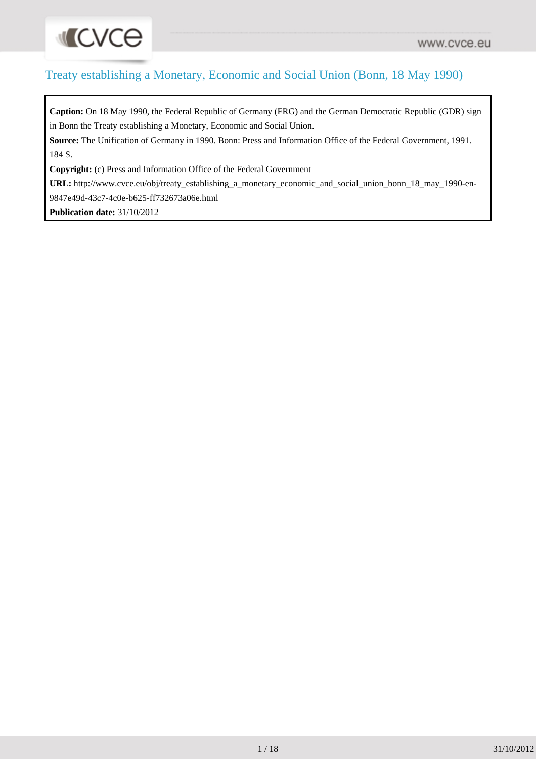# **INCACE**

## Treaty establishing a Monetary, Economic and Social Union (Bonn, 18 May 1990)

**Caption:** On 18 May 1990, the Federal Republic of Germany (FRG) and the German Democratic Republic (GDR) sign in Bonn the Treaty establishing a Monetary, Economic and Social Union.

**Source:** The Unification of Germany in 1990. Bonn: Press and Information Office of the Federal Government, 1991. 184 S.

**Copyright:** (c) Press and Information Office of the Federal Government

**URL:** [http://www.cvce.eu/obj/treaty\\_establishing\\_a\\_monetary\\_economic\\_and\\_social\\_union\\_bonn\\_18\\_may\\_1990-en-](http://www.cvce.eu/obj/treaty_establishing_a_monetary_economic_and_social_union_bonn_18_may_1990-en-9847e49d-43c7-4c0e-b625-ff732673a06e.html)[9847e49d-43c7-4c0e-b625-ff732673a06e.html](http://www.cvce.eu/obj/treaty_establishing_a_monetary_economic_and_social_union_bonn_18_may_1990-en-9847e49d-43c7-4c0e-b625-ff732673a06e.html)

**Publication date:** 31/10/2012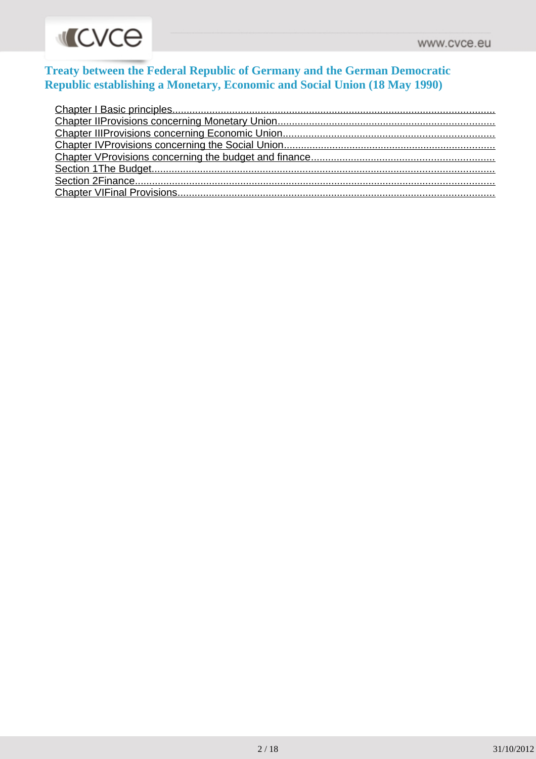

## **Treaty between the Federal Republic of Germany and the German Democratic Republic establishing a Monetary, Economic and Social Union (18 May 1990)**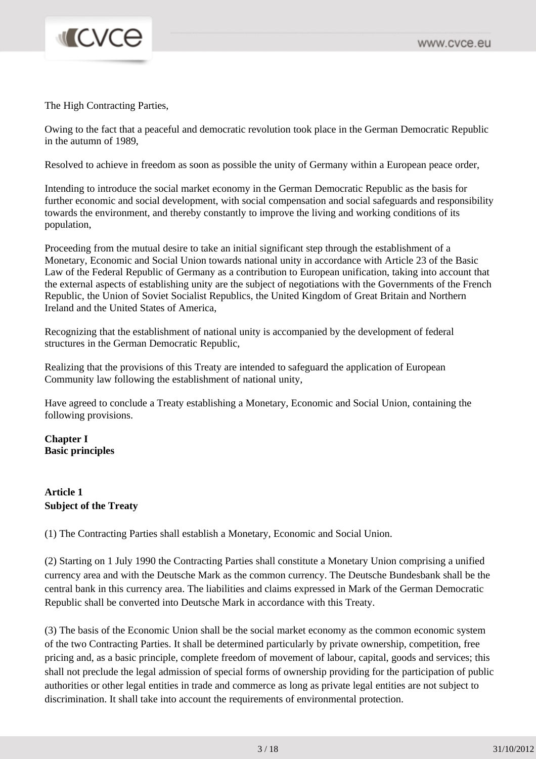

The High Contracting Parties,

Owing to the fact that a peaceful and democratic revolution took place in the German Democratic Republic in the autumn of 1989,

Resolved to achieve in freedom as soon as possible the unity of Germany within a European peace order,

Intending to introduce the social market economy in the German Democratic Republic as the basis for further economic and social development, with social compensation and social safeguards and responsibility towards the environment, and thereby constantly to improve the living and working conditions of its population,

Proceeding from the mutual desire to take an initial significant step through the establishment of a Monetary, Economic and Social Union towards national unity in accordance with Article 23 of the Basic Law of the Federal Republic of Germany as a contribution to European unification, taking into account that the external aspects of establishing unity are the subject of negotiations with the Governments of the French Republic, the Union of Soviet Socialist Republics, the United Kingdom of Great Britain and Northern Ireland and the United States of America,

Recognizing that the establishment of national unity is accompanied by the development of federal structures in the German Democratic Republic,

Realizing that the provisions of this Treaty are intended to safeguard the application of European Community law following the establishment of national unity,

Have agreed to conclude a Treaty establishing a Monetary, Economic and Social Union, containing the following provisions.

**Chapter I Basic principles**

## **Article 1 Subject of the Treaty**

(1) The Contracting Parties shall establish a Monetary, Economic and Social Union.

(2) Starting on 1 July 1990 the Contracting Parties shall constitute a Monetary Union comprising a unified currency area and with the Deutsche Mark as the common currency. The Deutsche Bundesbank shall be the central bank in this currency area. The liabilities and claims expressed in Mark of the German Democratic Republic shall be converted into Deutsche Mark in accordance with this Treaty.

(3) The basis of the Economic Union shall be the social market economy as the common economic system of the two Contracting Parties. It shall be determined particularly by private ownership, competition, free pricing and, as a basic principle, complete freedom of movement of labour, capital, goods and services; this shall not preclude the legal admission of special forms of ownership providing for the participation of public authorities or other legal entities in trade and commerce as long as private legal entities are not subject to discrimination. It shall take into account the requirements of environmental protection.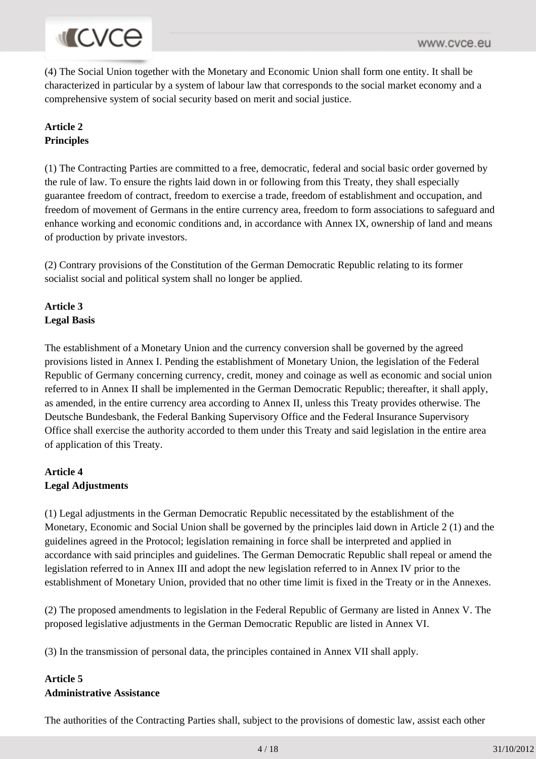(4) The Social Union together with the Monetary and Economic Union shall form one entity. It shall be characterized in particular by a system of labour law that corresponds to the social market economy and a comprehensive system of social security based on merit and social justice.

## **Article 2 Principles**

(1) The Contracting Parties are committed to a free, democratic, federal and social basic order governed by the rule of law. To ensure the rights laid down in or following from this Treaty, they shall especially guarantee freedom of contract, freedom to exercise a trade, freedom of establishment and occupation, and freedom of movement of Germans in the entire currency area, freedom to form associations to safeguard and enhance working and economic conditions and, in accordance with Annex IX, ownership of land and means of production by private investors.

(2) Contrary provisions of the Constitution of the German Democratic Republic relating to its former socialist social and political system shall no longer be applied.

## **Article 3 Legal Basis**

The establishment of a Monetary Union and the currency conversion shall be governed by the agreed provisions listed in Annex I. Pending the establishment of Monetary Union, the legislation of the Federal Republic of Germany concerning currency, credit, money and coinage as well as economic and social union referred to in Annex II shall be implemented in the German Democratic Republic; thereafter, it shall apply, as amended, in the entire currency area according to Annex II, unless this Treaty provides otherwise. The Deutsche Bundesbank, the Federal Banking Supervisory Office and the Federal Insurance Supervisory Office shall exercise the authority accorded to them under this Treaty and said legislation in the entire area of application of this Treaty.

## **Article 4 Legal Adjustments**

(1) Legal adjustments in the German Democratic Republic necessitated by the establishment of the Monetary, Economic and Social Union shall be governed by the principles laid down in Article 2 (1) and the guidelines agreed in the Protocol; legislation remaining in force shall be interpreted and applied in accordance with said principles and guidelines. The German Democratic Republic shall repeal or amend the legislation referred to in Annex III and adopt the new legislation referred to in Annex IV prior to the establishment of Monetary Union, provided that no other time limit is fixed in the Treaty or in the Annexes.

(2) The proposed amendments to legislation in the Federal Republic of Germany are listed in Annex V. The proposed legislative adjustments in the German Democratic Republic are listed in Annex VI.

(3) In the transmission of personal data, the principles contained in Annex VII shall apply.

## **Article 5 Administrative Assistance**

The authorities of the Contracting Parties shall, subject to the provisions of domestic law, assist each other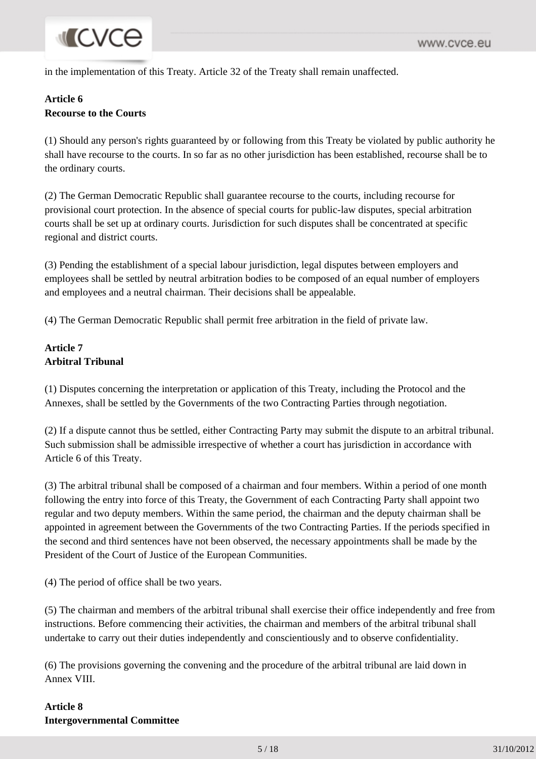in the implementation of this Treaty. Article 32 of the Treaty shall remain unaffected.

#### **Article 6 Recourse to the Courts**

**ILCVCe** 

(1) Should any person's rights guaranteed by or following from this Treaty be violated by public authority he shall have recourse to the courts. In so far as no other jurisdiction has been established, recourse shall be to the ordinary courts.

(2) The German Democratic Republic shall guarantee recourse to the courts, including recourse for provisional court protection. In the absence of special courts for public-law disputes, special arbitration courts shall be set up at ordinary courts. Jurisdiction for such disputes shall be concentrated at specific regional and district courts.

(3) Pending the establishment of a special labour jurisdiction, legal disputes between employers and employees shall be settled by neutral arbitration bodies to be composed of an equal number of employers and employees and a neutral chairman. Their decisions shall be appealable.

(4) The German Democratic Republic shall permit free arbitration in the field of private law.

#### **Article 7 Arbitral Tribunal**

(1) Disputes concerning the interpretation or application of this Treaty, including the Protocol and the Annexes, shall be settled by the Governments of the two Contracting Parties through negotiation.

(2) If a dispute cannot thus be settled, either Contracting Party may submit the dispute to an arbitral tribunal. Such submission shall be admissible irrespective of whether a court has jurisdiction in accordance with Article 6 of this Treaty.

(3) The arbitral tribunal shall be composed of a chairman and four members. Within a period of one month following the entry into force of this Treaty, the Government of each Contracting Party shall appoint two regular and two deputy members. Within the same period, the chairman and the deputy chairman shall be appointed in agreement between the Governments of the two Contracting Parties. If the periods specified in the second and third sentences have not been observed, the necessary appointments shall be made by the President of the Court of Justice of the European Communities.

(4) The period of office shall be two years.

(5) The chairman and members of the arbitral tribunal shall exercise their office independently and free from instructions. Before commencing their activities, the chairman and members of the arbitral tribunal shall undertake to carry out their duties independently and conscientiously and to observe confidentiality.

(6) The provisions governing the convening and the procedure of the arbitral tribunal are laid down in Annex VIII.

#### **Article 8 Intergovernmental Committee**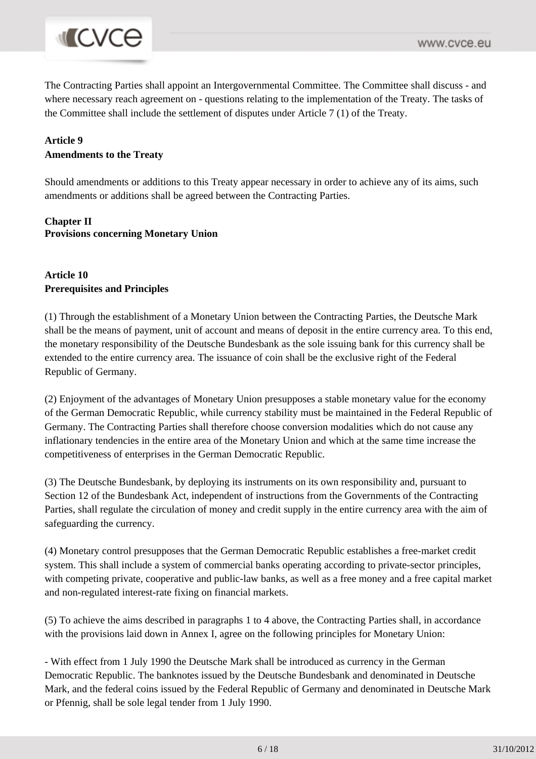

The Contracting Parties shall appoint an Intergovernmental Committee. The Committee shall discuss - and where necessary reach agreement on - questions relating to the implementation of the Treaty. The tasks of the Committee shall include the settlement of disputes under Article 7 (1) of the Treaty.

## **Article 9 Amendments to the Treaty**

Should amendments or additions to this Treaty appear necessary in order to achieve any of its aims, such amendments or additions shall be agreed between the Contracting Parties.

#### **Chapter II Provisions concerning Monetary Union**

### **Article 10 Prerequisites and Principles**

(1) Through the establishment of a Monetary Union between the Contracting Parties, the Deutsche Mark shall be the means of payment, unit of account and means of deposit in the entire currency area. To this end, the monetary responsibility of the Deutsche Bundesbank as the sole issuing bank for this currency shall be extended to the entire currency area. The issuance of coin shall be the exclusive right of the Federal Republic of Germany.

(2) Enjoyment of the advantages of Monetary Union presupposes a stable monetary value for the economy of the German Democratic Republic, while currency stability must be maintained in the Federal Republic of Germany. The Contracting Parties shall therefore choose conversion modalities which do not cause any inflationary tendencies in the entire area of the Monetary Union and which at the same time increase the competitiveness of enterprises in the German Democratic Republic.

(3) The Deutsche Bundesbank, by deploying its instruments on its own responsibility and, pursuant to Section 12 of the Bundesbank Act, independent of instructions from the Governments of the Contracting Parties, shall regulate the circulation of money and credit supply in the entire currency area with the aim of safeguarding the currency.

(4) Monetary control presupposes that the German Democratic Republic establishes a free-market credit system. This shall include a system of commercial banks operating according to private-sector principles, with competing private, cooperative and public-law banks, as well as a free money and a free capital market and non-regulated interest-rate fixing on financial markets.

(5) To achieve the aims described in paragraphs 1 to 4 above, the Contracting Parties shall, in accordance with the provisions laid down in Annex I, agree on the following principles for Monetary Union:

- With effect from 1 July 1990 the Deutsche Mark shall be introduced as currency in the German Democratic Republic. The banknotes issued by the Deutsche Bundesbank and denominated in Deutsche Mark, and the federal coins issued by the Federal Republic of Germany and denominated in Deutsche Mark or Pfennig, shall be sole legal tender from 1 July 1990.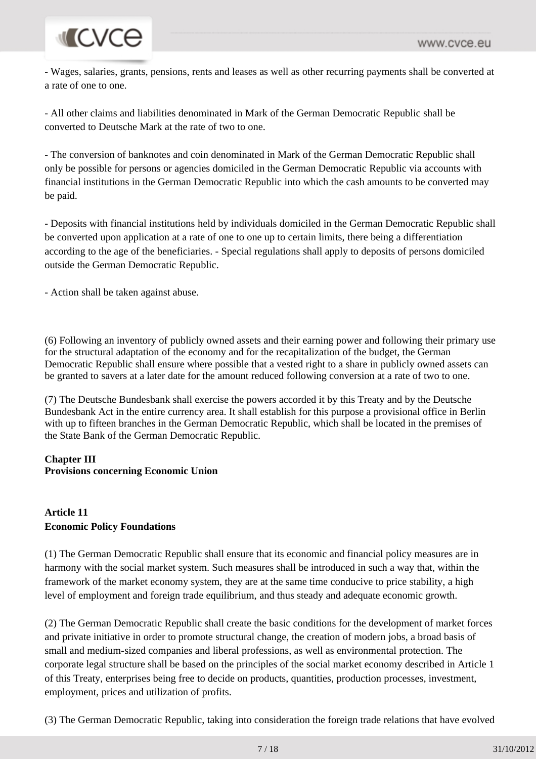# **ILCVCe**

- Wages, salaries, grants, pensions, rents and leases as well as other recurring payments shall be converted at a rate of one to one.

- All other claims and liabilities denominated in Mark of the German Democratic Republic shall be converted to Deutsche Mark at the rate of two to one.

- The conversion of banknotes and coin denominated in Mark of the German Democratic Republic shall only be possible for persons or agencies domiciled in the German Democratic Republic via accounts with financial institutions in the German Democratic Republic into which the cash amounts to be converted may be paid.

- Deposits with financial institutions held by individuals domiciled in the German Democratic Republic shall be converted upon application at a rate of one to one up to certain limits, there being a differentiation according to the age of the beneficiaries. - Special regulations shall apply to deposits of persons domiciled outside the German Democratic Republic.

- Action shall be taken against abuse.

(6) Following an inventory of publicly owned assets and their earning power and following their primary use for the structural adaptation of the economy and for the recapitalization of the budget, the German Democratic Republic shall ensure where possible that a vested right to a share in publicly owned assets can be granted to savers at a later date for the amount reduced following conversion at a rate of two to one.

(7) The Deutsche Bundesbank shall exercise the powers accorded it by this Treaty and by the Deutsche Bundesbank Act in the entire currency area. It shall establish for this purpose a provisional office in Berlin with up to fifteen branches in the German Democratic Republic, which shall be located in the premises of the State Bank of the German Democratic Republic.

#### **Chapter III Provisions concerning Economic Union**

#### **Article 11 Economic Policy Foundations**

(1) The German Democratic Republic shall ensure that its economic and financial policy measures are in harmony with the social market system. Such measures shall be introduced in such a way that, within the framework of the market economy system, they are at the same time conducive to price stability, a high level of employment and foreign trade equilibrium, and thus steady and adequate economic growth.

(2) The German Democratic Republic shall create the basic conditions for the development of market forces and private initiative in order to promote structural change, the creation of modern jobs, a broad basis of small and medium-sized companies and liberal professions, as well as environmental protection. The corporate legal structure shall be based on the principles of the social market economy described in Article 1 of this Treaty, enterprises being free to decide on products, quantities, production processes, investment, employment, prices and utilization of profits.

(3) The German Democratic Republic, taking into consideration the foreign trade relations that have evolved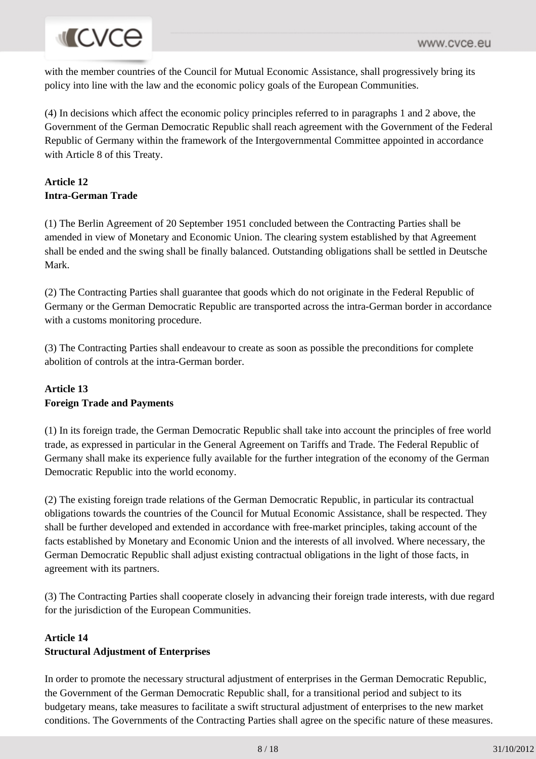# **INCVCe**

with the member countries of the Council for Mutual Economic Assistance, shall progressively bring its policy into line with the law and the economic policy goals of the European Communities.

(4) In decisions which affect the economic policy principles referred to in paragraphs 1 and 2 above, the Government of the German Democratic Republic shall reach agreement with the Government of the Federal Republic of Germany within the framework of the Intergovernmental Committee appointed in accordance with Article 8 of this Treaty.

## **Article 12 Intra-German Trade**

(1) The Berlin Agreement of 20 September 1951 concluded between the Contracting Parties shall be amended in view of Monetary and Economic Union. The clearing system established by that Agreement shall be ended and the swing shall be finally balanced. Outstanding obligations shall be settled in Deutsche Mark.

(2) The Contracting Parties shall guarantee that goods which do not originate in the Federal Republic of Germany or the German Democratic Republic are transported across the intra-German border in accordance with a customs monitoring procedure.

(3) The Contracting Parties shall endeavour to create as soon as possible the preconditions for complete abolition of controls at the intra-German border.

## **Article 13 Foreign Trade and Payments**

(1) In its foreign trade, the German Democratic Republic shall take into account the principles of free world trade, as expressed in particular in the General Agreement on Tariffs and Trade. The Federal Republic of Germany shall make its experience fully available for the further integration of the economy of the German Democratic Republic into the world economy.

(2) The existing foreign trade relations of the German Democratic Republic, in particular its contractual obligations towards the countries of the Council for Mutual Economic Assistance, shall be respected. They shall be further developed and extended in accordance with free-market principles, taking account of the facts established by Monetary and Economic Union and the interests of all involved. Where necessary, the German Democratic Republic shall adjust existing contractual obligations in the light of those facts, in agreement with its partners.

(3) The Contracting Parties shall cooperate closely in advancing their foreign trade interests, with due regard for the jurisdiction of the European Communities.

## **Article 14 Structural Adjustment of Enterprises**

In order to promote the necessary structural adjustment of enterprises in the German Democratic Republic, the Government of the German Democratic Republic shall, for a transitional period and subject to its budgetary means, take measures to facilitate a swift structural adjustment of enterprises to the new market conditions. The Governments of the Contracting Parties shall agree on the specific nature of these measures.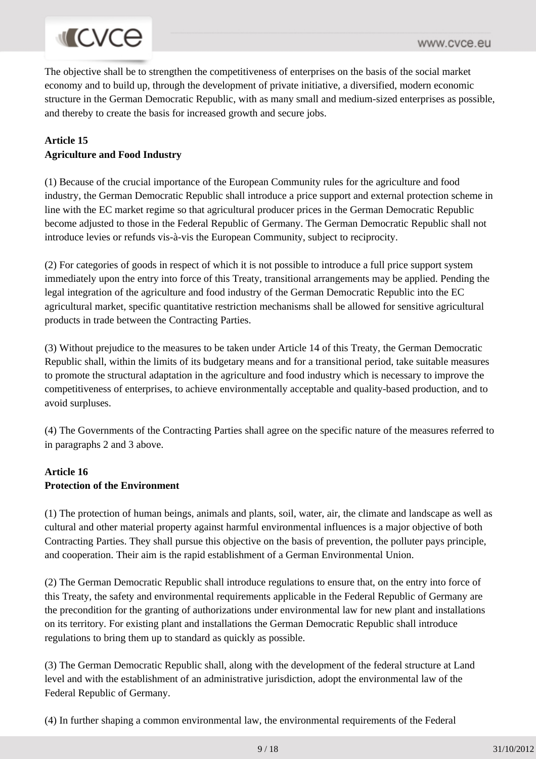# **MCVCe**

The objective shall be to strengthen the competitiveness of enterprises on the basis of the social market economy and to build up, through the development of private initiative, a diversified, modern economic structure in the German Democratic Republic, with as many small and medium-sized enterprises as possible, and thereby to create the basis for increased growth and secure jobs.

## **Article 15 Agriculture and Food Industry**

(1) Because of the crucial importance of the European Community rules for the agriculture and food industry, the German Democratic Republic shall introduce a price support and external protection scheme in line with the EC market regime so that agricultural producer prices in the German Democratic Republic become adjusted to those in the Federal Republic of Germany. The German Democratic Republic shall not introduce levies or refunds vis-à-vis the European Community, subject to reciprocity.

(2) For categories of goods in respect of which it is not possible to introduce a full price support system immediately upon the entry into force of this Treaty, transitional arrangements may be applied. Pending the legal integration of the agriculture and food industry of the German Democratic Republic into the EC agricultural market, specific quantitative restriction mechanisms shall be allowed for sensitive agricultural products in trade between the Contracting Parties.

(3) Without prejudice to the measures to be taken under Article 14 of this Treaty, the German Democratic Republic shall, within the limits of its budgetary means and for a transitional period, take suitable measures to promote the structural adaptation in the agriculture and food industry which is necessary to improve the competitiveness of enterprises, to achieve environmentally acceptable and quality-based production, and to avoid surpluses.

(4) The Governments of the Contracting Parties shall agree on the specific nature of the measures referred to in paragraphs 2 and 3 above.

## **Article 16 Protection of the Environment**

(1) The protection of human beings, animals and plants, soil, water, air, the climate and landscape as well as cultural and other material property against harmful environmental influences is a major objective of both Contracting Parties. They shall pursue this objective on the basis of prevention, the polluter pays principle, and cooperation. Their aim is the rapid establishment of a German Environmental Union.

(2) The German Democratic Republic shall introduce regulations to ensure that, on the entry into force of this Treaty, the safety and environmental requirements applicable in the Federal Republic of Germany are the precondition for the granting of authorizations under environmental law for new plant and installations on its territory. For existing plant and installations the German Democratic Republic shall introduce regulations to bring them up to standard as quickly as possible.

(3) The German Democratic Republic shall, along with the development of the federal structure at Land level and with the establishment of an administrative jurisdiction, adopt the environmental law of the Federal Republic of Germany.

(4) In further shaping a common environmental law, the environmental requirements of the Federal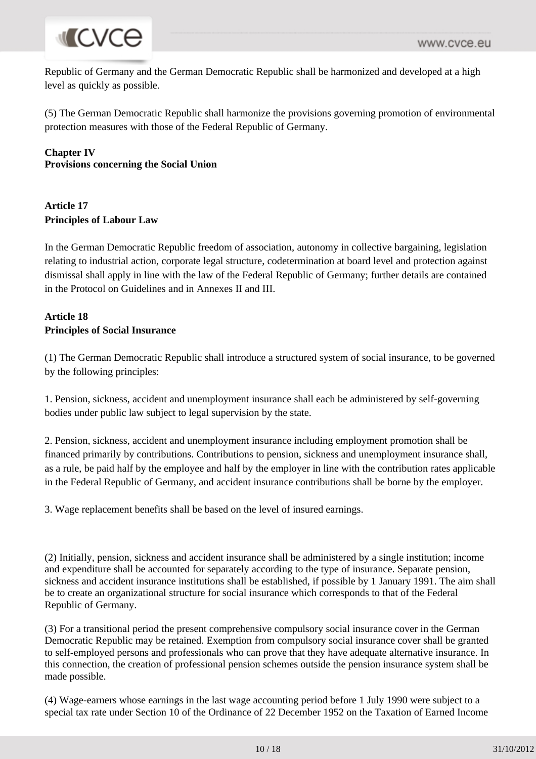

Republic of Germany and the German Democratic Republic shall be harmonized and developed at a high level as quickly as possible.

(5) The German Democratic Republic shall harmonize the provisions governing promotion of environmental protection measures with those of the Federal Republic of Germany.

#### **Chapter IV Provisions concerning the Social Union**

## **Article 17 Principles of Labour Law**

In the German Democratic Republic freedom of association, autonomy in collective bargaining, legislation relating to industrial action, corporate legal structure, codetermination at board level and protection against dismissal shall apply in line with the law of the Federal Republic of Germany; further details are contained in the Protocol on Guidelines and in Annexes II and III.

## **Article 18 Principles of Social Insurance**

(1) The German Democratic Republic shall introduce a structured system of social insurance, to be governed by the following principles:

1. Pension, sickness, accident and unemployment insurance shall each be administered by self-governing bodies under public law subject to legal supervision by the state.

2. Pension, sickness, accident and unemployment insurance including employment promotion shall be financed primarily by contributions. Contributions to pension, sickness and unemployment insurance shall, as a rule, be paid half by the employee and half by the employer in line with the contribution rates applicable in the Federal Republic of Germany, and accident insurance contributions shall be borne by the employer.

3. Wage replacement benefits shall be based on the level of insured earnings.

(2) Initially, pension, sickness and accident insurance shall be administered by a single institution; income and expenditure shall be accounted for separately according to the type of insurance. Separate pension, sickness and accident insurance institutions shall be established, if possible by 1 January 1991. The aim shall be to create an organizational structure for social insurance which corresponds to that of the Federal Republic of Germany.

(3) For a transitional period the present comprehensive compulsory social insurance cover in the German Democratic Republic may be retained. Exemption from compulsory social insurance cover shall be granted to self-employed persons and professionals who can prove that they have adequate alternative insurance. In this connection, the creation of professional pension schemes outside the pension insurance system shall be made possible.

(4) Wage-earners whose earnings in the last wage accounting period before 1 July 1990 were subject to a special tax rate under Section 10 of the Ordinance of 22 December 1952 on the Taxation of Earned Income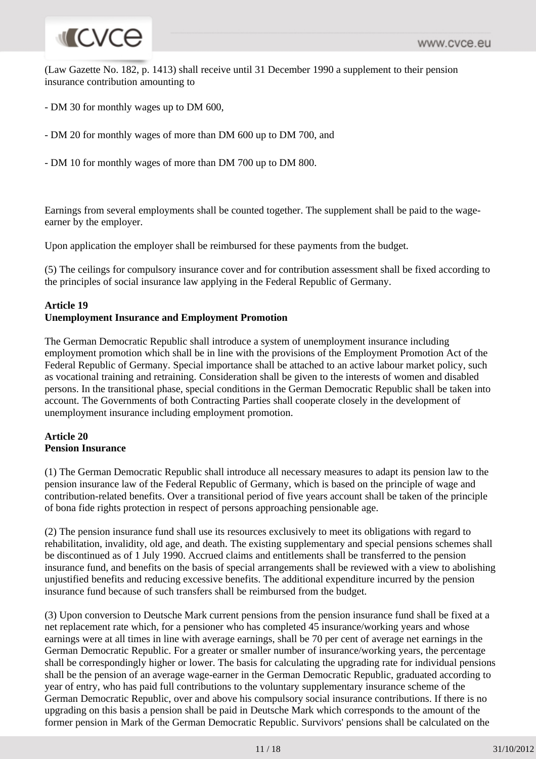(Law Gazette No. 182, p. 1413) shall receive until 31 December 1990 a supplement to their pension insurance contribution amounting to

- DM 30 for monthly wages up to DM 600,
- DM 20 for monthly wages of more than DM 600 up to DM 700, and
- DM 10 for monthly wages of more than DM 700 up to DM 800.

Earnings from several employments shall be counted together. The supplement shall be paid to the wageearner by the employer.

Upon application the employer shall be reimbursed for these payments from the budget.

(5) The ceilings for compulsory insurance cover and for contribution assessment shall be fixed according to the principles of social insurance law applying in the Federal Republic of Germany.

#### **Article 19 Unemployment Insurance and Employment Promotion**

The German Democratic Republic shall introduce a system of unemployment insurance including employment promotion which shall be in line with the provisions of the Employment Promotion Act of the Federal Republic of Germany. Special importance shall be attached to an active labour market policy, such as vocational training and retraining. Consideration shall be given to the interests of women and disabled persons. In the transitional phase, special conditions in the German Democratic Republic shall be taken into account. The Governments of both Contracting Parties shall cooperate closely in the development of unemployment insurance including employment promotion.

#### **Article 20 Pension Insurance**

(1) The German Democratic Republic shall introduce all necessary measures to adapt its pension law to the pension insurance law of the Federal Republic of Germany, which is based on the principle of wage and contribution-related benefits. Over a transitional period of five years account shall be taken of the principle of bona fide rights protection in respect of persons approaching pensionable age.

(2) The pension insurance fund shall use its resources exclusively to meet its obligations with regard to rehabilitation, invalidity, old age, and death. The existing supplementary and special pensions schemes shall be discontinued as of 1 July 1990. Accrued claims and entitlements shall be transferred to the pension insurance fund, and benefits on the basis of special arrangements shall be reviewed with a view to abolishing unjustified benefits and reducing excessive benefits. The additional expenditure incurred by the pension insurance fund because of such transfers shall be reimbursed from the budget.

(3) Upon conversion to Deutsche Mark current pensions from the pension insurance fund shall be fixed at a net replacement rate which, for a pensioner who has completed 45 insurance/working years and whose earnings were at all times in line with average earnings, shall be 70 per cent of average net earnings in the German Democratic Republic. For a greater or smaller number of insurance/working years, the percentage shall be correspondingly higher or lower. The basis for calculating the upgrading rate for individual pensions shall be the pension of an average wage-earner in the German Democratic Republic, graduated according to year of entry, who has paid full contributions to the voluntary supplementary insurance scheme of the German Democratic Republic, over and above his compulsory social insurance contributions. If there is no upgrading on this basis a pension shall be paid in Deutsche Mark which corresponds to the amount of the former pension in Mark of the German Democratic Republic. Survivors' pensions shall be calculated on the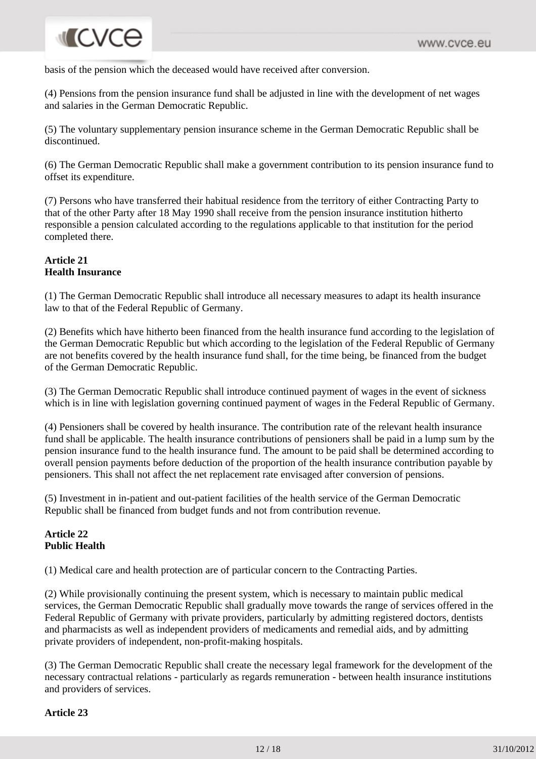## **MCVCe**

basis of the pension which the deceased would have received after conversion.

(4) Pensions from the pension insurance fund shall be adjusted in line with the development of net wages and salaries in the German Democratic Republic.

(5) The voluntary supplementary pension insurance scheme in the German Democratic Republic shall be discontinued.

(6) The German Democratic Republic shall make a government contribution to its pension insurance fund to offset its expenditure.

(7) Persons who have transferred their habitual residence from the territory of either Contracting Party to that of the other Party after 18 May 1990 shall receive from the pension insurance institution hitherto responsible a pension calculated according to the regulations applicable to that institution for the period completed there.

#### **Article 21 Health Insurance**

(1) The German Democratic Republic shall introduce all necessary measures to adapt its health insurance law to that of the Federal Republic of Germany.

(2) Benefits which have hitherto been financed from the health insurance fund according to the legislation of the German Democratic Republic but which according to the legislation of the Federal Republic of Germany are not benefits covered by the health insurance fund shall, for the time being, be financed from the budget of the German Democratic Republic.

(3) The German Democratic Republic shall introduce continued payment of wages in the event of sickness which is in line with legislation governing continued payment of wages in the Federal Republic of Germany.

(4) Pensioners shall be covered by health insurance. The contribution rate of the relevant health insurance fund shall be applicable. The health insurance contributions of pensioners shall be paid in a lump sum by the pension insurance fund to the health insurance fund. The amount to be paid shall be determined according to overall pension payments before deduction of the proportion of the health insurance contribution payable by pensioners. This shall not affect the net replacement rate envisaged after conversion of pensions.

(5) Investment in in-patient and out-patient facilities of the health service of the German Democratic Republic shall be financed from budget funds and not from contribution revenue.

#### **Article 22 Public Health**

(1) Medical care and health protection are of particular concern to the Contracting Parties.

(2) While provisionally continuing the present system, which is necessary to maintain public medical services, the German Democratic Republic shall gradually move towards the range of services offered in the Federal Republic of Germany with private providers, particularly by admitting registered doctors, dentists and pharmacists as well as independent providers of medicaments and remedial aids, and by admitting private providers of independent, non-profit-making hospitals.

(3) The German Democratic Republic shall create the necessary legal framework for the development of the necessary contractual relations - particularly as regards remuneration - between health insurance institutions and providers of services.

#### **Article 23**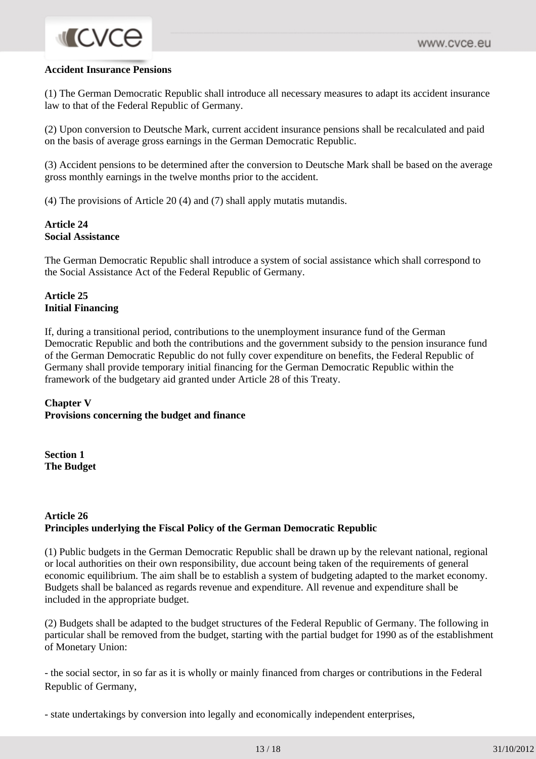#### **Accident Insurance Pensions**

(1) The German Democratic Republic shall introduce all necessary measures to adapt its accident insurance law to that of the Federal Republic of Germany.

(2) Upon conversion to Deutsche Mark, current accident insurance pensions shall be recalculated and paid on the basis of average gross earnings in the German Democratic Republic.

(3) Accident pensions to be determined after the conversion to Deutsche Mark shall be based on the average gross monthly earnings in the twelve months prior to the accident.

(4) The provisions of Article 20 (4) and (7) shall apply mutatis mutandis.

#### **Article 24 Social Assistance**

The German Democratic Republic shall introduce a system of social assistance which shall correspond to the Social Assistance Act of the Federal Republic of Germany.

#### **Article 25 Initial Financing**

If, during a transitional period, contributions to the unemployment insurance fund of the German Democratic Republic and both the contributions and the government subsidy to the pension insurance fund of the German Democratic Republic do not fully cover expenditure on benefits, the Federal Republic of Germany shall provide temporary initial financing for the German Democratic Republic within the framework of the budgetary aid granted under Article 28 of this Treaty.

#### **Chapter V Provisions concerning the budget and finance**

**Section 1 The Budget**

#### **Article 26 Principles underlying the Fiscal Policy of the German Democratic Republic**

(1) Public budgets in the German Democratic Republic shall be drawn up by the relevant national, regional or local authorities on their own responsibility, due account being taken of the requirements of general economic equilibrium. The aim shall be to establish a system of budgeting adapted to the market economy. Budgets shall be balanced as regards revenue and expenditure. All revenue and expenditure shall be included in the appropriate budget.

(2) Budgets shall be adapted to the budget structures of the Federal Republic of Germany. The following in particular shall be removed from the budget, starting with the partial budget for 1990 as of the establishment of Monetary Union:

- the social sector, in so far as it is wholly or mainly financed from charges or contributions in the Federal Republic of Germany,

- state undertakings by conversion into legally and economically independent enterprises,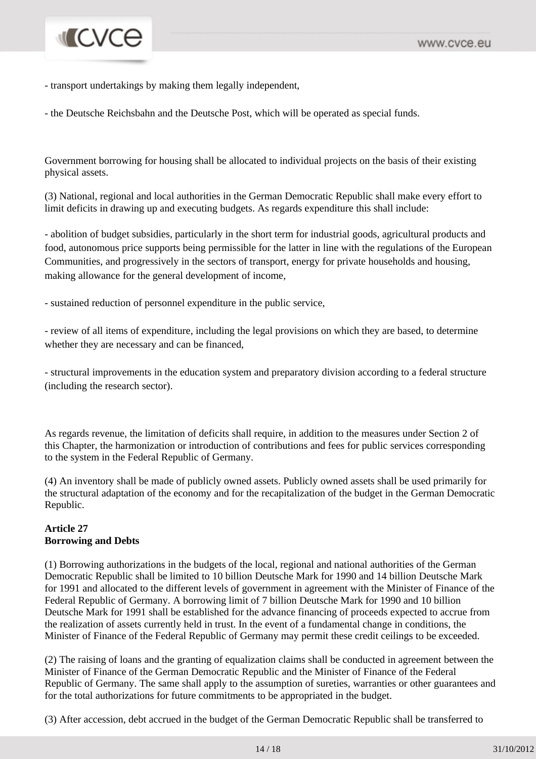- transport undertakings by making them legally independent,
- the Deutsche Reichsbahn and the Deutsche Post, which will be operated as special funds.

Government borrowing for housing shall be allocated to individual projects on the basis of their existing physical assets.

(3) National, regional and local authorities in the German Democratic Republic shall make every effort to limit deficits in drawing up and executing budgets. As regards expenditure this shall include:

- abolition of budget subsidies, particularly in the short term for industrial goods, agricultural products and food, autonomous price supports being permissible for the latter in line with the regulations of the European Communities, and progressively in the sectors of transport, energy for private households and housing, making allowance for the general development of income,

- sustained reduction of personnel expenditure in the public service,

- review of all items of expenditure, including the legal provisions on which they are based, to determine whether they are necessary and can be financed,

- structural improvements in the education system and preparatory division according to a federal structure (including the research sector).

As regards revenue, the limitation of deficits shall require, in addition to the measures under Section 2 of this Chapter, the harmonization or introduction of contributions and fees for public services corresponding to the system in the Federal Republic of Germany.

(4) An inventory shall be made of publicly owned assets. Publicly owned assets shall be used primarily for the structural adaptation of the economy and for the recapitalization of the budget in the German Democratic Republic.

#### **Article 27 Borrowing and Debts**

(1) Borrowing authorizations in the budgets of the local, regional and national authorities of the German Democratic Republic shall be limited to 10 billion Deutsche Mark for 1990 and 14 billion Deutsche Mark for 1991 and allocated to the different levels of government in agreement with the Minister of Finance of the Federal Republic of Germany. A borrowing limit of 7 billion Deutsche Mark for 1990 and 10 billion Deutsche Mark for 1991 shall be established for the advance financing of proceeds expected to accrue from the realization of assets currently held in trust. In the event of a fundamental change in conditions, the Minister of Finance of the Federal Republic of Germany may permit these credit ceilings to be exceeded.

(2) The raising of loans and the granting of equalization claims shall be conducted in agreement between the Minister of Finance of the German Democratic Republic and the Minister of Finance of the Federal Republic of Germany. The same shall apply to the assumption of sureties, warranties or other guarantees and for the total authorizations for future commitments to be appropriated in the budget.

(3) After accession, debt accrued in the budget of the German Democratic Republic shall be transferred to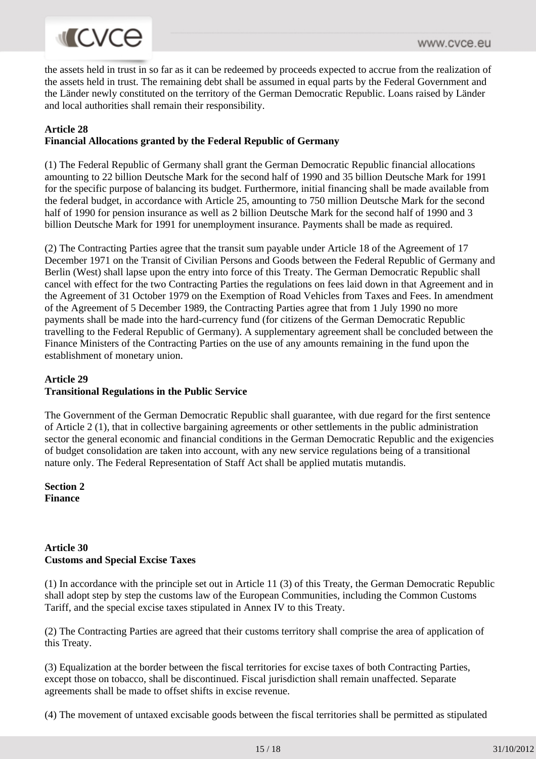the assets held in trust in so far as it can be redeemed by proceeds expected to accrue from the realization of the assets held in trust. The remaining debt shall be assumed in equal parts by the Federal Government and the Länder newly constituted on the territory of the German Democratic Republic. Loans raised by Länder and local authorities shall remain their responsibility.

#### **Article 28**

#### **Financial Allocations granted by the Federal Republic of Germany**

(1) The Federal Republic of Germany shall grant the German Democratic Republic financial allocations amounting to 22 billion Deutsche Mark for the second half of 1990 and 35 billion Deutsche Mark for 1991 for the specific purpose of balancing its budget. Furthermore, initial financing shall be made available from the federal budget, in accordance with Article 25, amounting to 750 million Deutsche Mark for the second half of 1990 for pension insurance as well as 2 billion Deutsche Mark for the second half of 1990 and 3 billion Deutsche Mark for 1991 for unemployment insurance. Payments shall be made as required.

(2) The Contracting Parties agree that the transit sum payable under Article 18 of the Agreement of 17 December 1971 on the Transit of Civilian Persons and Goods between the Federal Republic of Germany and Berlin (West) shall lapse upon the entry into force of this Treaty. The German Democratic Republic shall cancel with effect for the two Contracting Parties the regulations on fees laid down in that Agreement and in the Agreement of 31 October 1979 on the Exemption of Road Vehicles from Taxes and Fees. In amendment of the Agreement of 5 December 1989, the Contracting Parties agree that from 1 July 1990 no more payments shall be made into the hard-currency fund (for citizens of the German Democratic Republic travelling to the Federal Republic of Germany). A supplementary agreement shall be concluded between the Finance Ministers of the Contracting Parties on the use of any amounts remaining in the fund upon the establishment of monetary union.

## **Article 29 Transitional Regulations in the Public Service**

The Government of the German Democratic Republic shall guarantee, with due regard for the first sentence of Article 2 (1), that in collective bargaining agreements or other settlements in the public administration sector the general economic and financial conditions in the German Democratic Republic and the exigencies of budget consolidation are taken into account, with any new service regulations being of a transitional nature only. The Federal Representation of Staff Act shall be applied mutatis mutandis.

**Section 2 Finance**

#### **Article 30 Customs and Special Excise Taxes**

(1) In accordance with the principle set out in Article 11 (3) of this Treaty, the German Democratic Republic shall adopt step by step the customs law of the European Communities, including the Common Customs Tariff, and the special excise taxes stipulated in Annex IV to this Treaty.

(2) The Contracting Parties are agreed that their customs territory shall comprise the area of application of this Treaty.

(3) Equalization at the border between the fiscal territories for excise taxes of both Contracting Parties, except those on tobacco, shall be discontinued. Fiscal jurisdiction shall remain unaffected. Separate agreements shall be made to offset shifts in excise revenue.

(4) The movement of untaxed excisable goods between the fiscal territories shall be permitted as stipulated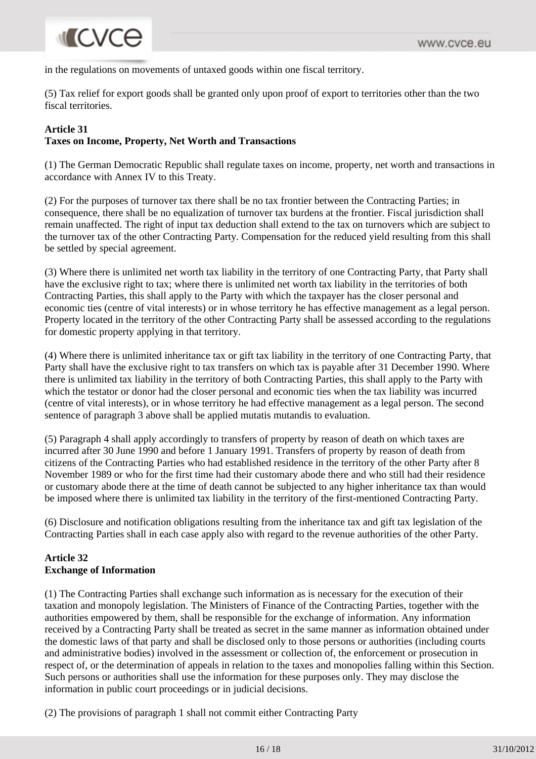in the regulations on movements of untaxed goods within one fiscal territory.

(5) Tax relief for export goods shall be granted only upon proof of export to territories other than the two fiscal territories.

#### **Article 31**

#### **Taxes on Income, Property, Net Worth and Transactions**

(1) The German Democratic Republic shall regulate taxes on income, property, net worth and transactions in accordance with Annex IV to this Treaty.

(2) For the purposes of turnover tax there shall be no tax frontier between the Contracting Parties; in consequence, there shall be no equalization of turnover tax burdens at the frontier. Fiscal jurisdiction shall remain unaffected. The right of input tax deduction shall extend to the tax on turnovers which are subject to the turnover tax of the other Contracting Party. Compensation for the reduced yield resulting from this shall be settled by special agreement.

(3) Where there is unlimited net worth tax liability in the territory of one Contracting Party, that Party shall have the exclusive right to tax; where there is unlimited net worth tax liability in the territories of both Contracting Parties, this shall apply to the Party with which the taxpayer has the closer personal and economic ties (centre of vital interests) or in whose territory he has effective management as a legal person. Property located in the territory of the other Contracting Party shall be assessed according to the regulations for domestic property applying in that territory.

(4) Where there is unlimited inheritance tax or gift tax liability in the territory of one Contracting Party, that Party shall have the exclusive right to tax transfers on which tax is payable after 31 December 1990. Where there is unlimited tax liability in the territory of both Contracting Parties, this shall apply to the Party with which the testator or donor had the closer personal and economic ties when the tax liability was incurred (centre of vital interests), or in whose territory he had effective management as a legal person. The second sentence of paragraph 3 above shall be applied mutatis mutandis to evaluation.

(5) Paragraph 4 shall apply accordingly to transfers of property by reason of death on which taxes are incurred after 30 June 1990 and before 1 January 1991. Transfers of property by reason of death from citizens of the Contracting Parties who had established residence in the territory of the other Party after 8 November 1989 or who for the first time had their customary abode there and who still had their residence or customary abode there at the time of death cannot be subjected to any higher inheritance tax than would be imposed where there is unlimited tax liability in the territory of the first-mentioned Contracting Party.

(6) Disclosure and notification obligations resulting from the inheritance tax and gift tax legislation of the Contracting Parties shall in each case apply also with regard to the revenue authorities of the other Party.

#### **Article 32 Exchange of Information**

(1) The Contracting Parties shall exchange such information as is necessary for the execution of their taxation and monopoly legislation. The Ministers of Finance of the Contracting Parties, together with the authorities empowered by them, shall be responsible for the exchange of information. Any information received by a Contracting Party shall be treated as secret in the same manner as information obtained under the domestic laws of that party and shall be disclosed only to those persons or authorities (including courts and administrative bodies) involved in the assessment or collection of, the enforcement or prosecution in respect of, or the determination of appeals in relation to the taxes and monopolies falling within this Section. Such persons or authorities shall use the information for these purposes only. They may disclose the information in public court proceedings or in judicial decisions.

(2) The provisions of paragraph 1 shall not commit either Contracting Party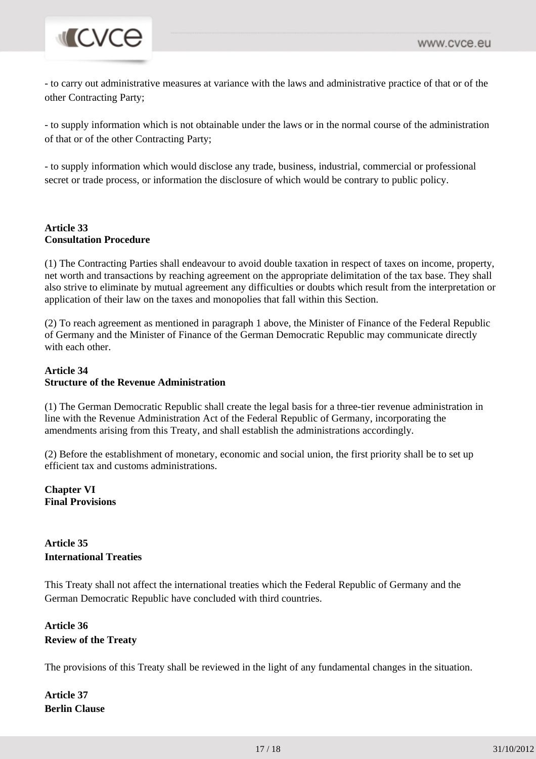- to carry out administrative measures at variance with the laws and administrative practice of that or of the other Contracting Party;

- to supply information which is not obtainable under the laws or in the normal course of the administration of that or of the other Contracting Party;

- to supply information which would disclose any trade, business, industrial, commercial or professional secret or trade process, or information the disclosure of which would be contrary to public policy.

#### **Article 33 Consultation Procedure**

(1) The Contracting Parties shall endeavour to avoid double taxation in respect of taxes on income, property, net worth and transactions by reaching agreement on the appropriate delimitation of the tax base. They shall also strive to eliminate by mutual agreement any difficulties or doubts which result from the interpretation or application of their law on the taxes and monopolies that fall within this Section.

(2) To reach agreement as mentioned in paragraph 1 above, the Minister of Finance of the Federal Republic of Germany and the Minister of Finance of the German Democratic Republic may communicate directly with each other.

#### **Article 34 Structure of the Revenue Administration**

(1) The German Democratic Republic shall create the legal basis for a three-tier revenue administration in line with the Revenue Administration Act of the Federal Republic of Germany, incorporating the amendments arising from this Treaty, and shall establish the administrations accordingly.

(2) Before the establishment of monetary, economic and social union, the first priority shall be to set up efficient tax and customs administrations.

**Chapter VI Final Provisions**

### **Article 35 International Treaties**

This Treaty shall not affect the international treaties which the Federal Republic of Germany and the German Democratic Republic have concluded with third countries.

### **Article 36 Review of the Treaty**

The provisions of this Treaty shall be reviewed in the light of any fundamental changes in the situation.

**Article 37 Berlin Clause**